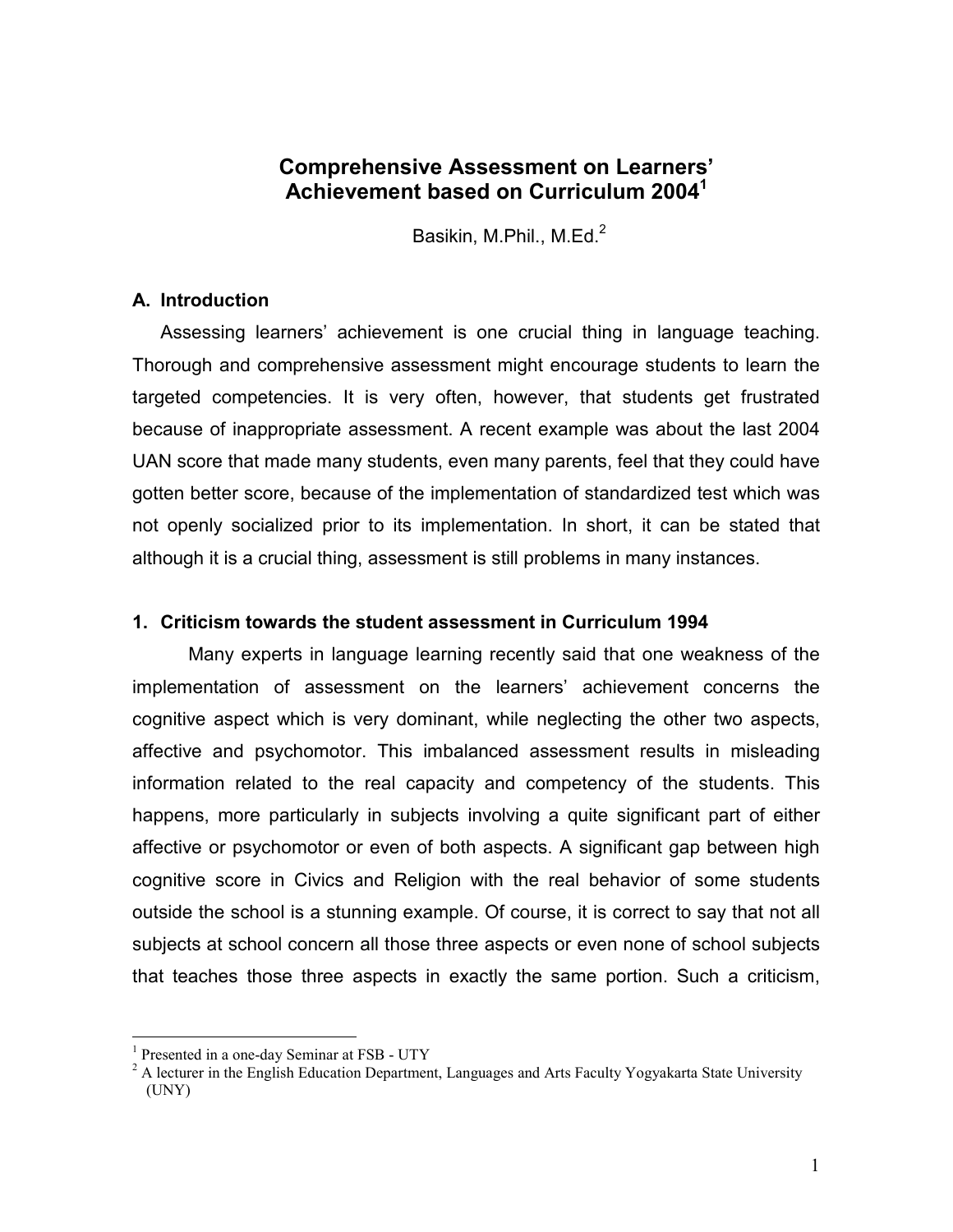# Comprehensive Assessment on Learners' Achievement based on Curriculum 2004<sup>1</sup>

Basikin, M.Phil., M.Ed.<sup>2</sup>

### A. Introduction

 Assessing learners' achievement is one crucial thing in language teaching. Thorough and comprehensive assessment might encourage students to learn the targeted competencies. It is very often, however, that students get frustrated because of inappropriate assessment. A recent example was about the last 2004 UAN score that made many students, even many parents, feel that they could have gotten better score, because of the implementation of standardized test which was not openly socialized prior to its implementation. In short, it can be stated that although it is a crucial thing, assessment is still problems in many instances.

#### 1. Criticism towards the student assessment in Curriculum 1994

Many experts in language learning recently said that one weakness of the implementation of assessment on the learners' achievement concerns the cognitive aspect which is very dominant, while neglecting the other two aspects, affective and psychomotor. This imbalanced assessment results in misleading information related to the real capacity and competency of the students. This happens, more particularly in subjects involving a quite significant part of either affective or psychomotor or even of both aspects. A significant gap between high cognitive score in Civics and Religion with the real behavior of some students outside the school is a stunning example. Of course, it is correct to say that not all subjects at school concern all those three aspects or even none of school subjects that teaches those three aspects in exactly the same portion. Such a criticism,

<u>.</u>

<sup>&</sup>lt;sup>1</sup> Presented in a one-day Seminar at FSB - UTY

 $2$  A lecturer in the English Education Department, Languages and Arts Faculty Yogyakarta State University (UNY)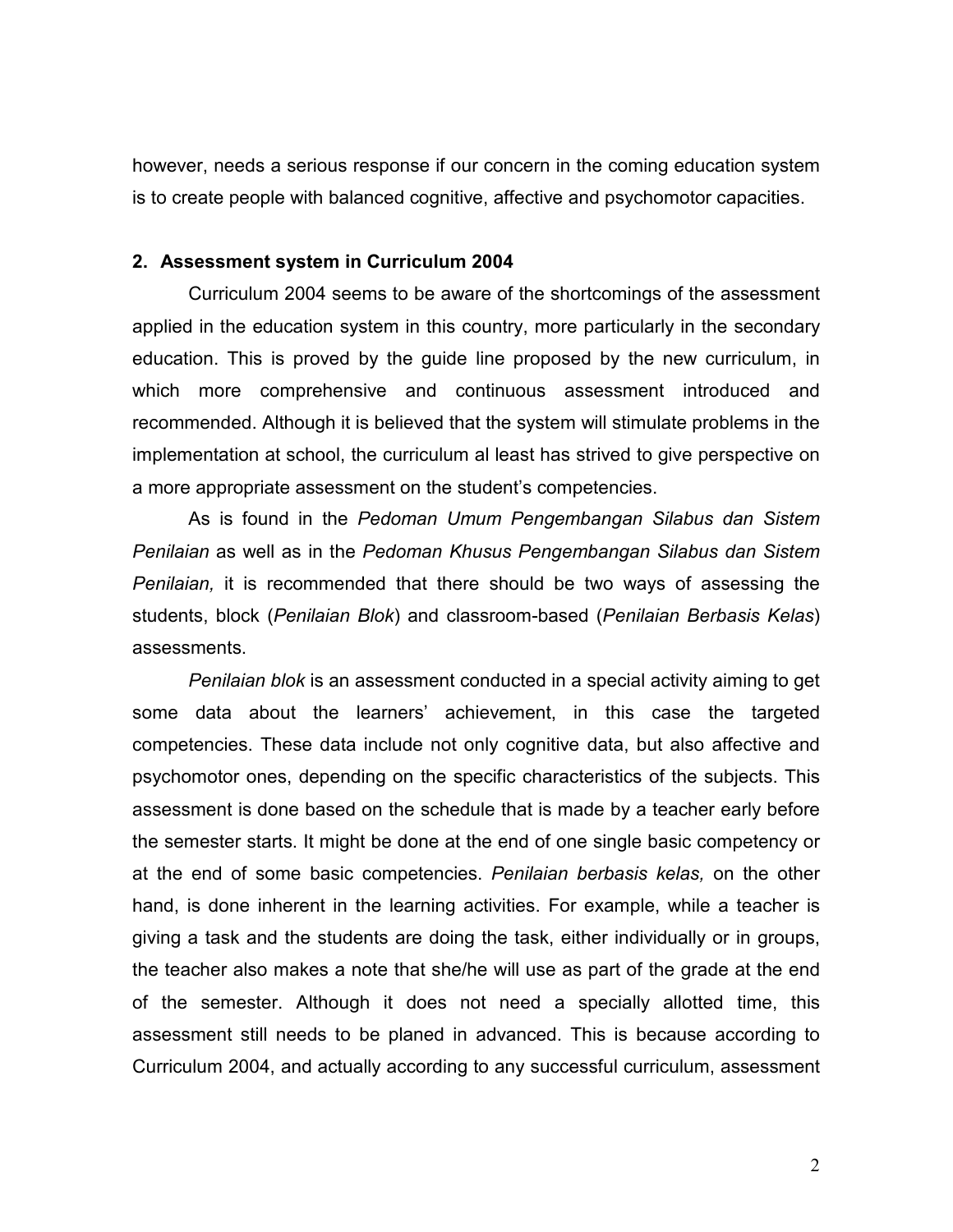however, needs a serious response if our concern in the coming education system is to create people with balanced cognitive, affective and psychomotor capacities.

#### 2. Assessment system in Curriculum 2004

 Curriculum 2004 seems to be aware of the shortcomings of the assessment applied in the education system in this country, more particularly in the secondary education. This is proved by the guide line proposed by the new curriculum, in which more comprehensive and continuous assessment introduced and recommended. Although it is believed that the system will stimulate problems in the implementation at school, the curriculum al least has strived to give perspective on a more appropriate assessment on the student's competencies.

 As is found in the Pedoman Umum Pengembangan Silabus dan Sistem Penilaian as well as in the Pedoman Khusus Pengembangan Silabus dan Sistem Penilaian, it is recommended that there should be two ways of assessing the students, block (Penilaian Blok) and classroom-based (Penilaian Berbasis Kelas) assessments.

 Penilaian blok is an assessment conducted in a special activity aiming to get some data about the learners' achievement, in this case the targeted competencies. These data include not only cognitive data, but also affective and psychomotor ones, depending on the specific characteristics of the subjects. This assessment is done based on the schedule that is made by a teacher early before the semester starts. It might be done at the end of one single basic competency or at the end of some basic competencies. Penilaian berbasis kelas, on the other hand, is done inherent in the learning activities. For example, while a teacher is giving a task and the students are doing the task, either individually or in groups, the teacher also makes a note that she/he will use as part of the grade at the end of the semester. Although it does not need a specially allotted time, this assessment still needs to be planed in advanced. This is because according to Curriculum 2004, and actually according to any successful curriculum, assessment

2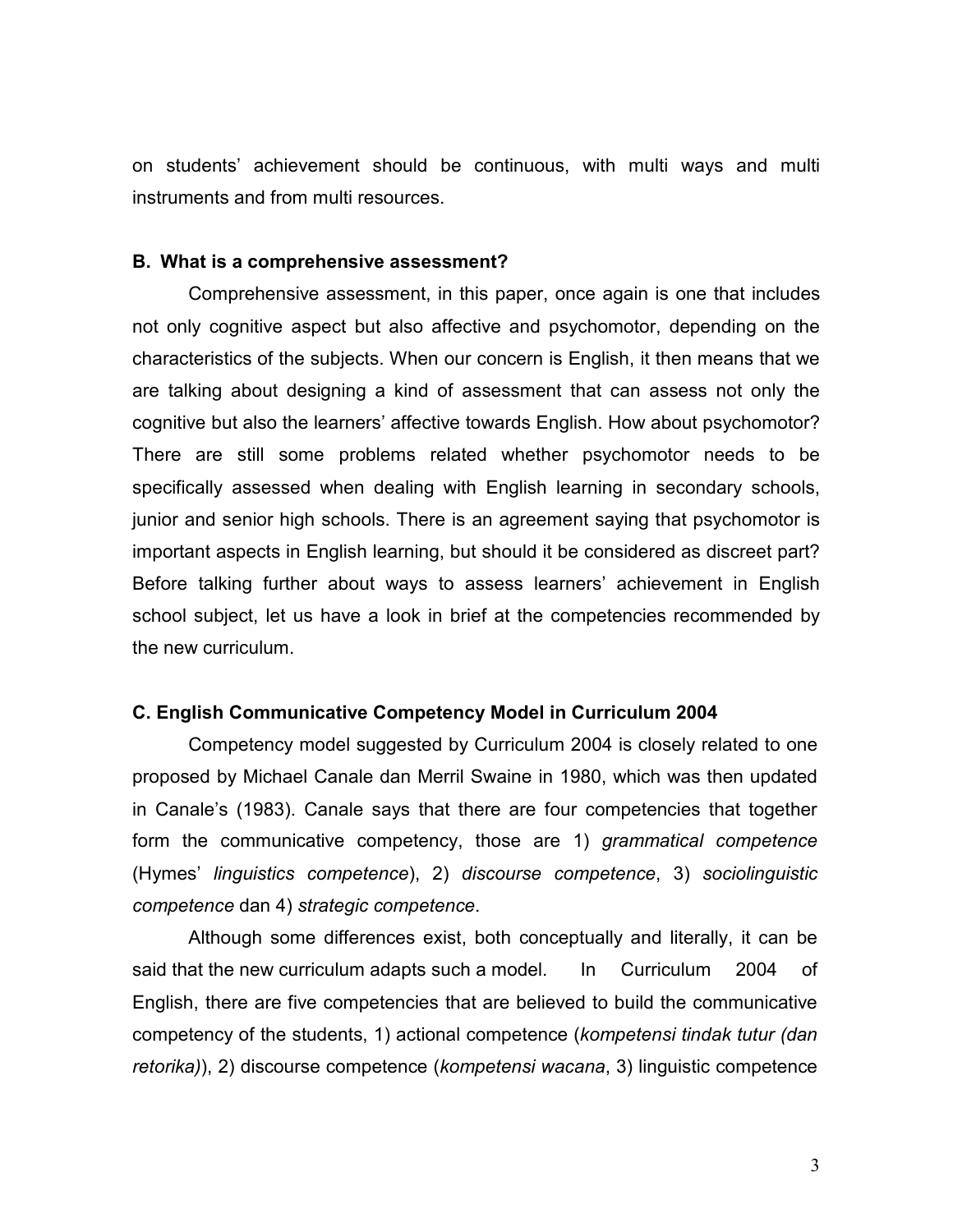on students' achievement should be continuous, with multi ways and multi instruments and from multi resources.

#### B. What is a comprehensive assessment?

Comprehensive assessment, in this paper, once again is one that includes not only cognitive aspect but also affective and psychomotor, depending on the characteristics of the subjects. When our concern is English, it then means that we are talking about designing a kind of assessment that can assess not only the cognitive but also the learners' affective towards English. How about psychomotor? There are still some problems related whether psychomotor needs to be specifically assessed when dealing with English learning in secondary schools, junior and senior high schools. There is an agreement saying that psychomotor is important aspects in English learning, but should it be considered as discreet part? Before talking further about ways to assess learners' achievement in English school subject, let us have a look in brief at the competencies recommended by the new curriculum.

### C. English Communicative Competency Model in Curriculum 2004

 Competency model suggested by Curriculum 2004 is closely related to one proposed by Michael Canale dan Merril Swaine in 1980, which was then updated in Canale's (1983). Canale says that there are four competencies that together form the communicative competency, those are 1) grammatical competence (Hymes' linguistics competence), 2) discourse competence, 3) sociolinguistic competence dan 4) strategic competence.

 Although some differences exist, both conceptually and literally, it can be said that the new curriculum adapts such a model. In Curriculum 2004 of English, there are five competencies that are believed to build the communicative competency of the students, 1) actional competence (kompetensi tindak tutur (dan retorika)), 2) discourse competence (kompetensi wacana, 3) linguistic competence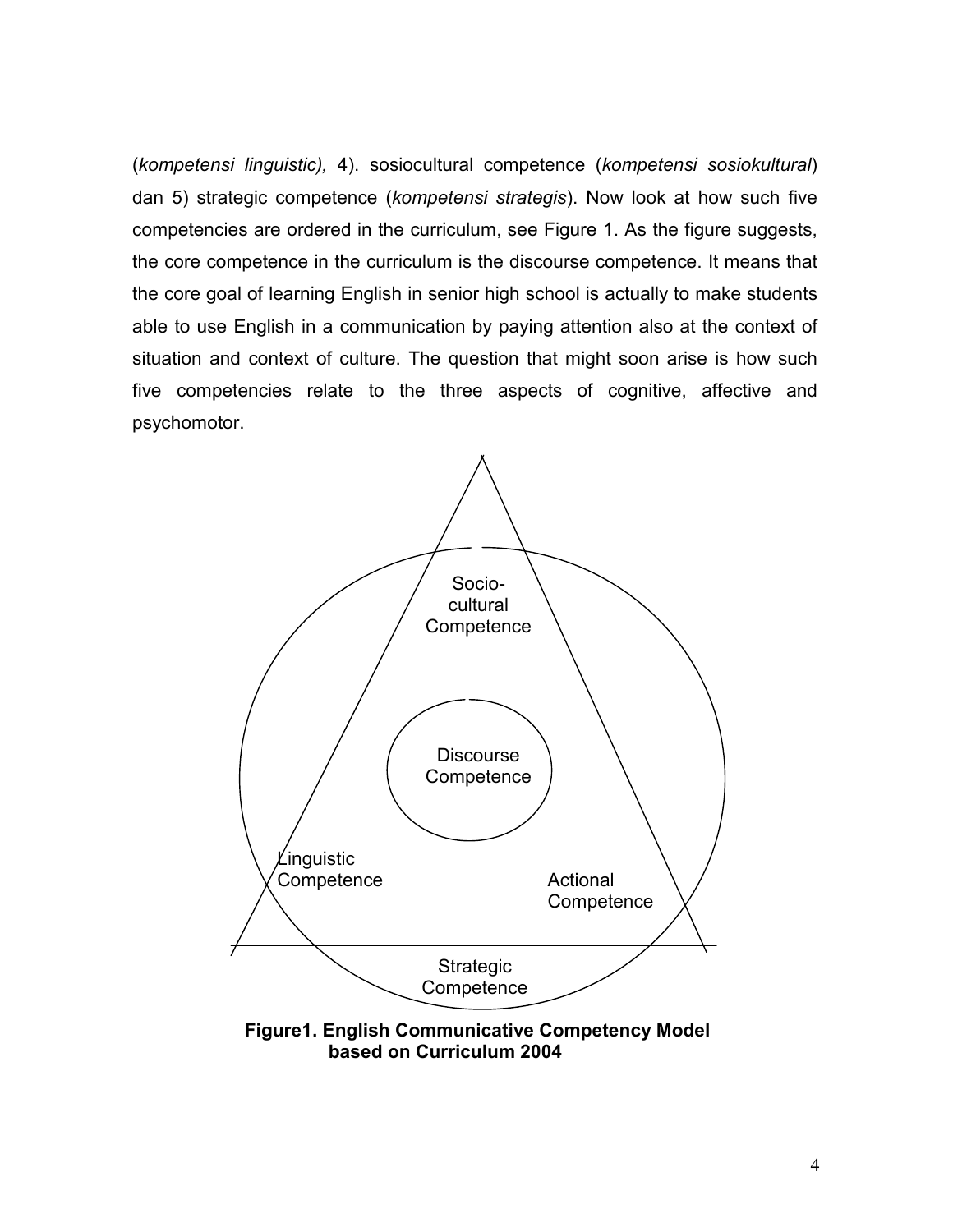(kompetensi linguistic), 4). sosiocultural competence (kompetensi sosiokultural) dan 5) strategic competence (kompetensi strategis). Now look at how such five competencies are ordered in the curriculum, see Figure 1. As the figure suggests, the core competence in the curriculum is the discourse competence. It means that the core goal of learning English in senior high school is actually to make students able to use English in a communication by paying attention also at the context of situation and context of culture. The question that might soon arise is how such five competencies relate to the three aspects of cognitive, affective and psychomotor.

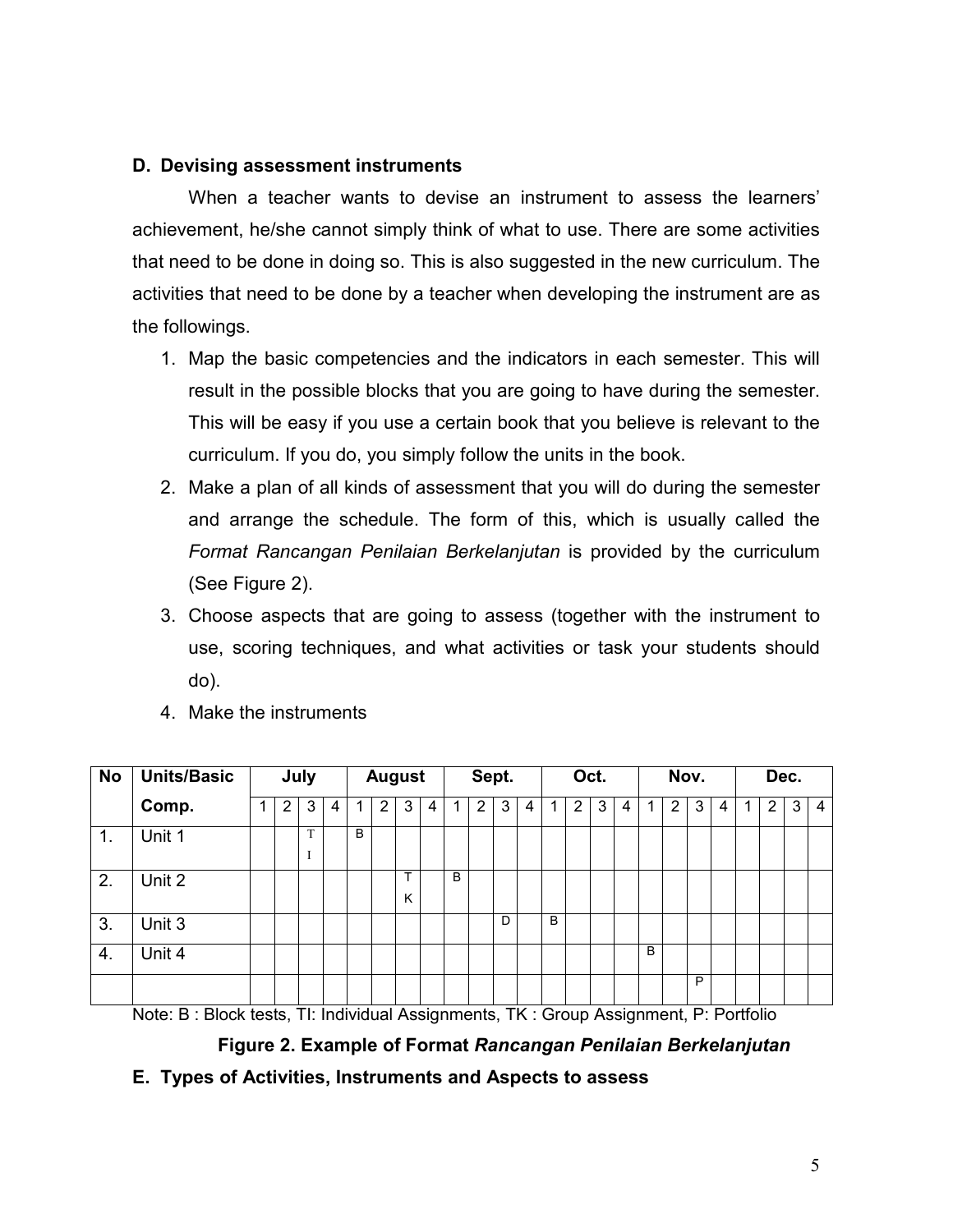## D. Devising assessment instruments

When a teacher wants to devise an instrument to assess the learners' achievement, he/she cannot simply think of what to use. There are some activities that need to be done in doing so. This is also suggested in the new curriculum. The activities that need to be done by a teacher when developing the instrument are as the followings.

- 1. Map the basic competencies and the indicators in each semester. This will result in the possible blocks that you are going to have during the semester. This will be easy if you use a certain book that you believe is relevant to the curriculum. If you do, you simply follow the units in the book.
- 2. Make a plan of all kinds of assessment that you will do during the semester and arrange the schedule. The form of this, which is usually called the Format Rancangan Penilaian Berkelanjutan is provided by the curriculum (See Figure 2).
- 3. Choose aspects that are going to assess (together with the instrument to use, scoring techniques, and what activities or task your students should do).
- 4. Make the instruments

| <b>No</b> | <b>Units/Basic</b> | July |   |        | <b>August</b> |   |                |        | Sept. |   |                | Oct. |   |   | Nov.           |   |   | Dec. |                |   |   |   |   |   |    |
|-----------|--------------------|------|---|--------|---------------|---|----------------|--------|-------|---|----------------|------|---|---|----------------|---|---|------|----------------|---|---|---|---|---|----|
|           | Comp.              |      | 2 | 3      | 4             | 1 | $\overline{2}$ | 3      | 4     | 1 | $\overline{2}$ | 3    | 4 | 1 | $\overline{2}$ | 3 | 4 | ٠    | $\overline{2}$ | 3 | 4 | 1 | 2 | 3 | -4 |
| 1.        | Unit 1             |      |   | T<br>ı |               | B |                |        |       |   |                |      |   |   |                |   |   |      |                |   |   |   |   |   |    |
| 2.        | Unit 2             |      |   |        |               |   |                | т<br>Κ |       | B |                |      |   |   |                |   |   |      |                |   |   |   |   |   |    |
| 3.        | Unit 3             |      |   |        |               |   |                |        |       |   |                | D    |   | B |                |   |   |      |                |   |   |   |   |   |    |
| 4.        | Unit 4             |      |   |        |               |   |                |        |       |   |                |      |   |   |                |   |   | B    |                |   |   |   |   |   |    |
|           |                    |      |   |        |               |   |                |        |       |   |                |      |   |   |                |   |   |      |                | P |   |   |   |   |    |

Note: B : Block tests, TI: Individual Assignments, TK : Group Assignment, P: Portfolio

Figure 2. Example of Format Rancangan Penilaian Berkelanjutan

E. Types of Activities, Instruments and Aspects to assess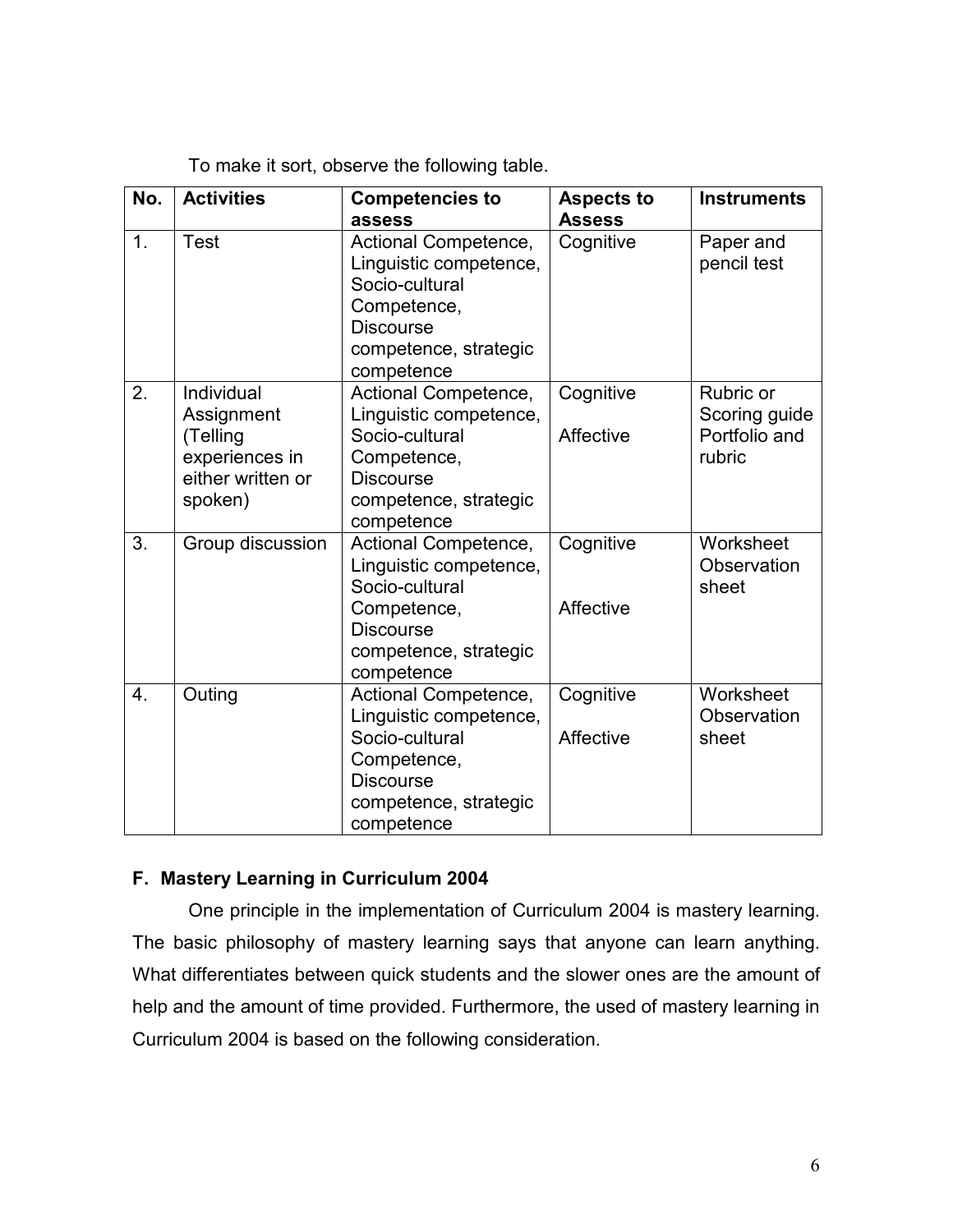To make it sort, observe the following table.

| No. | <b>Activities</b>                                                                      | <b>Competencies to</b><br>assess                                                                                                           | <b>Aspects to</b><br><b>Assess</b> | <b>Instruments</b>                                    |
|-----|----------------------------------------------------------------------------------------|--------------------------------------------------------------------------------------------------------------------------------------------|------------------------------------|-------------------------------------------------------|
| 1.  | <b>Test</b>                                                                            | Actional Competence,<br>Linguistic competence,<br>Socio-cultural<br>Competence,<br><b>Discourse</b><br>competence, strategic<br>competence | Cognitive                          | Paper and<br>pencil test                              |
| 2.  | Individual<br>Assignment<br>(Telling<br>experiences in<br>either written or<br>spoken) | Actional Competence,<br>Linguistic competence,<br>Socio-cultural<br>Competence,<br><b>Discourse</b><br>competence, strategic<br>competence | Cognitive<br>Affective             | Rubric or<br>Scoring guide<br>Portfolio and<br>rubric |
| 3.  | Group discussion                                                                       | Actional Competence,<br>Linguistic competence,<br>Socio-cultural<br>Competence,<br><b>Discourse</b><br>competence, strategic<br>competence | Cognitive<br>Affective             | Worksheet<br>Observation<br>sheet                     |
| 4.  | Outing                                                                                 | Actional Competence,<br>Linguistic competence,<br>Socio-cultural<br>Competence,<br><b>Discourse</b><br>competence, strategic<br>competence | Cognitive<br>Affective             | Worksheet<br>Observation<br>sheet                     |

## F. Mastery Learning in Curriculum 2004

One principle in the implementation of Curriculum 2004 is mastery learning. The basic philosophy of mastery learning says that anyone can learn anything. What differentiates between quick students and the slower ones are the amount of help and the amount of time provided. Furthermore, the used of mastery learning in Curriculum 2004 is based on the following consideration.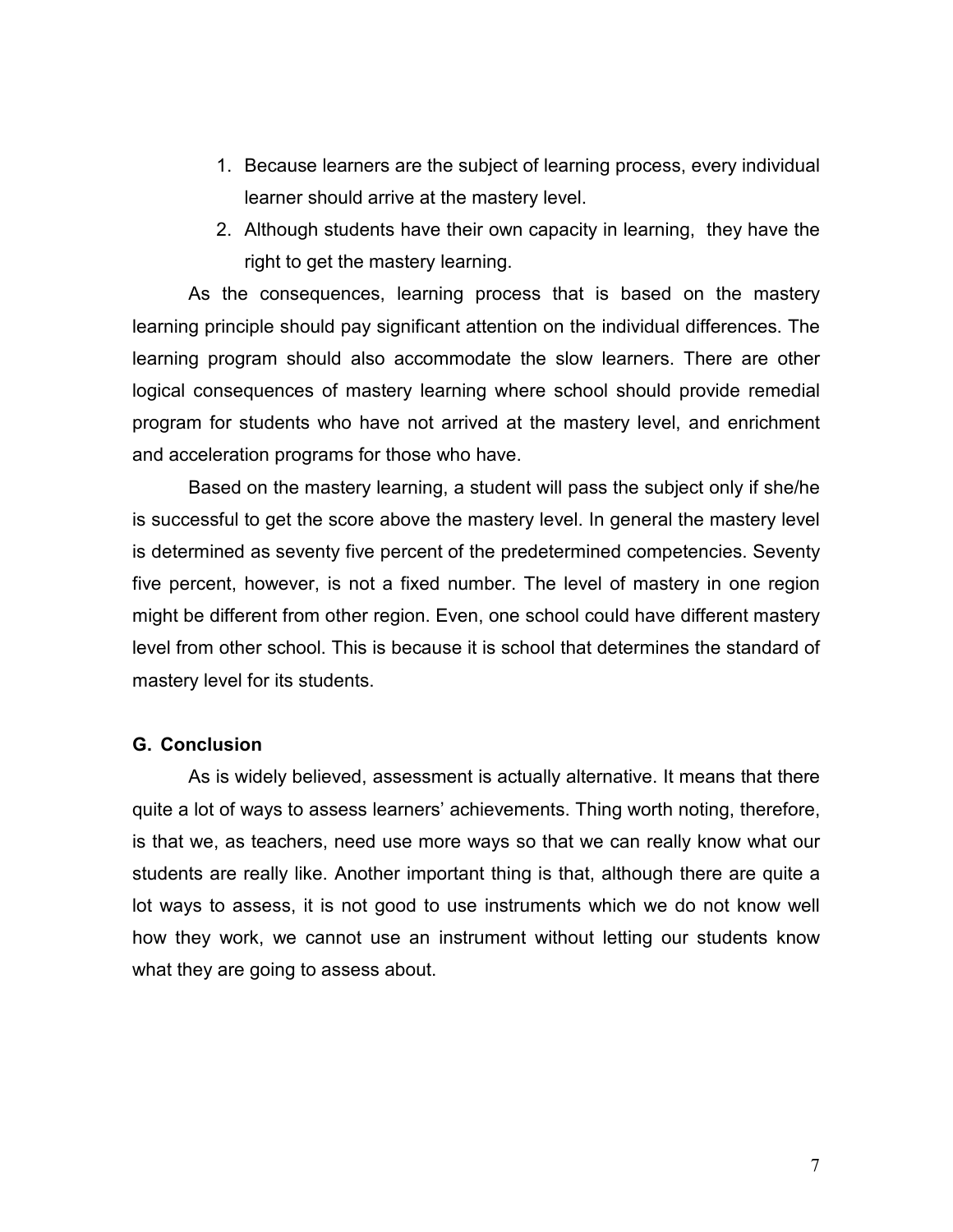- 1. Because learners are the subject of learning process, every individual learner should arrive at the mastery level.
- 2. Although students have their own capacity in learning, they have the right to get the mastery learning.

As the consequences, learning process that is based on the mastery learning principle should pay significant attention on the individual differences. The learning program should also accommodate the slow learners. There are other logical consequences of mastery learning where school should provide remedial program for students who have not arrived at the mastery level, and enrichment and acceleration programs for those who have.

Based on the mastery learning, a student will pass the subject only if she/he is successful to get the score above the mastery level. In general the mastery level is determined as seventy five percent of the predetermined competencies. Seventy five percent, however, is not a fixed number. The level of mastery in one region might be different from other region. Even, one school could have different mastery level from other school. This is because it is school that determines the standard of mastery level for its students.

### G. Conclusion

As is widely believed, assessment is actually alternative. It means that there quite a lot of ways to assess learners' achievements. Thing worth noting, therefore, is that we, as teachers, need use more ways so that we can really know what our students are really like. Another important thing is that, although there are quite a lot ways to assess, it is not good to use instruments which we do not know well how they work, we cannot use an instrument without letting our students know what they are going to assess about.